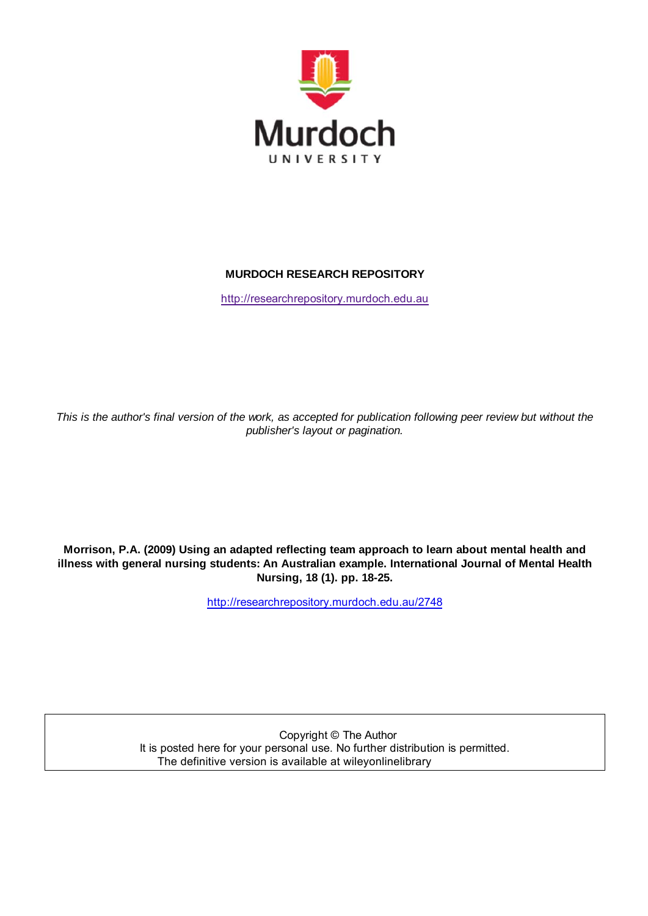

### **MURDOCH RESEARCH REPOSITORY**

http://researchrepository.murdoch.edu.au

*This is the author's final version of the work, as accepted for publication following peer review but without the publisher's layout or pagination.*

**Morrison, P.A. (2009) Using an adapted reflecting team approach to learn about mental health and illness with general nursing students: An Australian example. International Journal of Mental Health Nursing, 18 (1). pp. 18-25.**

http://researchrepository.murdoch.edu.au/2748

Copyright © The Author It is posted here for your personal use. No further distribution is permitted. The definitive version is available at wileyonlinelibrary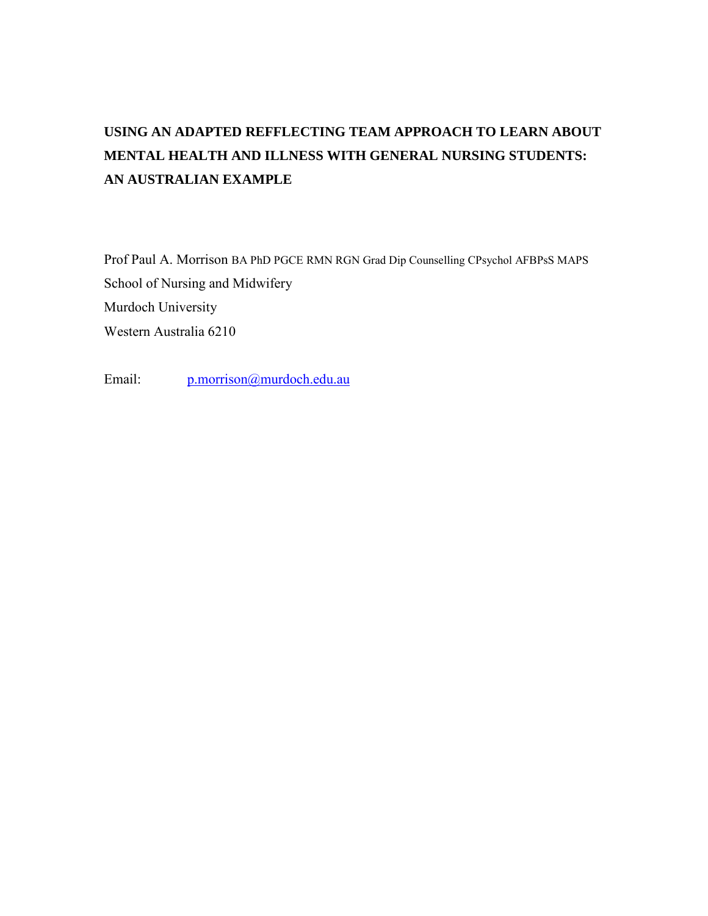# **USING AN ADAPTED REFFLECTING TEAM APPROACH TO LEARN ABOUT MENTAL HEALTH AND ILLNESS WITH GENERAL NURSING STUDENTS: AN AUSTRALIAN EXAMPLE**

Prof Paul A. Morrison BA PhD PGCE RMN RGN Grad Dip Counselling CPsychol AFBPsS MAPS School of Nursing and Midwifery Murdoch University Western Australia 6210

Email: [p.morrison@murdoch.edu.au](mailto:p.morrison@murdoch.edu.au)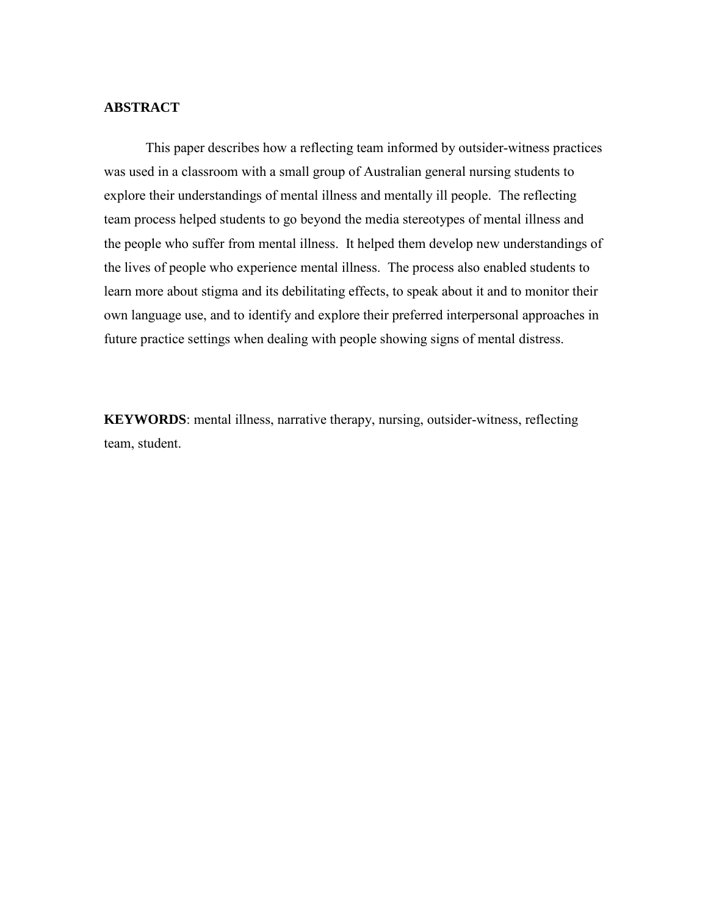#### **ABSTRACT**

This paper describes how a reflecting team informed by outsider-witness practices was used in a classroom with a small group of Australian general nursing students to explore their understandings of mental illness and mentally ill people. The reflecting team process helped students to go beyond the media stereotypes of mental illness and the people who suffer from mental illness. It helped them develop new understandings of the lives of people who experience mental illness. The process also enabled students to learn more about stigma and its debilitating effects, to speak about it and to monitor their own language use, and to identify and explore their preferred interpersonal approaches in future practice settings when dealing with people showing signs of mental distress.

**KEYWORDS**: mental illness, narrative therapy, nursing, outsider-witness, reflecting team, student.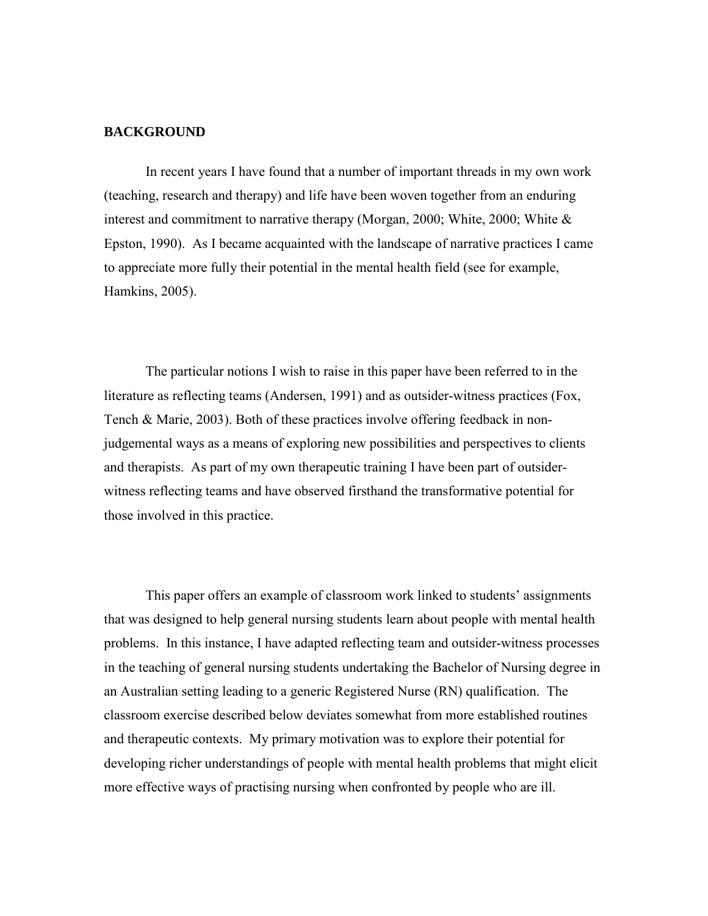#### **BACKGROUND**

In recent years I have found that a number of important threads in my own work (teaching, research and therapy) and life have been woven together from an enduring interest and commitment to narrative therapy (Morgan, 2000; White, 2000; White & Epston, 1990). As I became acquainted with the landscape of narrative practices I came to appreciate more fully their potential in the mental health field (see for example, Hamkins, 2005).

The particular notions I wish to raise in this paper have been referred to in the literature as reflecting teams (Andersen, 1991) and as outsider-witness practices (Fox, Tench & Marie, 2003). Both of these practices involve offering feedback in nonjudgemental ways as a means of exploring new possibilities and perspectives to clients and therapists. As part of my own therapeutic training I have been part of outsiderwitness reflecting teams and have observed firsthand the transformative potential for those involved in this practice.

This paper offers an example of classroom work linked to students' assignments that was designed to help general nursing students learn about people with mental health problems. In this instance, I have adapted reflecting team and outsider-witness processes in the teaching of general nursing students undertaking the Bachelor of Nursing degree in an Australian setting leading to a generic Registered Nurse (RN) qualification. The classroom exercise described below deviates somewhat from more established routines and therapeutic contexts. My primary motivation was to explore their potential for developing richer understandings of people with mental health problems that might elicit more effective ways of practising nursing when confronted by people who are ill.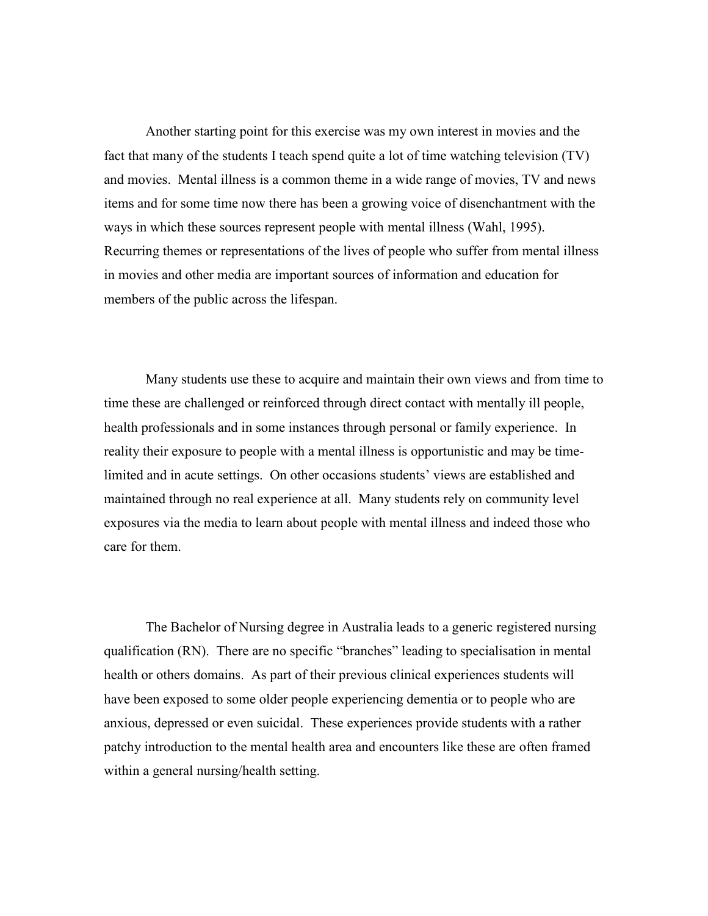Another starting point for this exercise was my own interest in movies and the fact that many of the students I teach spend quite a lot of time watching television (TV) and movies. Mental illness is a common theme in a wide range of movies, TV and news items and for some time now there has been a growing voice of disenchantment with the ways in which these sources represent people with mental illness (Wahl, 1995). Recurring themes or representations of the lives of people who suffer from mental illness in movies and other media are important sources of information and education for members of the public across the lifespan.

Many students use these to acquire and maintain their own views and from time to time these are challenged or reinforced through direct contact with mentally ill people, health professionals and in some instances through personal or family experience. In reality their exposure to people with a mental illness is opportunistic and may be timelimited and in acute settings. On other occasions students' views are established and maintained through no real experience at all. Many students rely on community level exposures via the media to learn about people with mental illness and indeed those who care for them.

The Bachelor of Nursing degree in Australia leads to a generic registered nursing qualification (RN). There are no specific "branches" leading to specialisation in mental health or others domains. As part of their previous clinical experiences students will have been exposed to some older people experiencing dementia or to people who are anxious, depressed or even suicidal. These experiences provide students with a rather patchy introduction to the mental health area and encounters like these are often framed within a general nursing/health setting.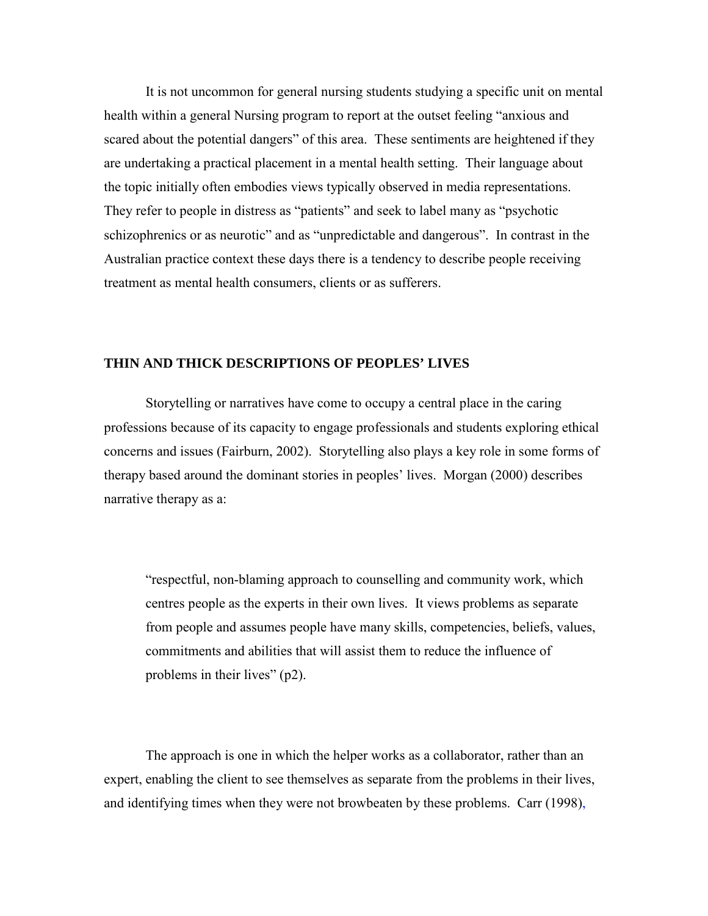It is not uncommon for general nursing students studying a specific unit on mental health within a general Nursing program to report at the outset feeling "anxious and scared about the potential dangers" of this area. These sentiments are heightened if they are undertaking a practical placement in a mental health setting. Their language about the topic initially often embodies views typically observed in media representations. They refer to people in distress as "patients" and seek to label many as "psychotic schizophrenics or as neurotic" and as "unpredictable and dangerous". In contrast in the Australian practice context these days there is a tendency to describe people receiving treatment as mental health consumers, clients or as sufferers.

#### **THIN AND THICK DESCRIPTIONS OF PEOPLES' LIVES**

Storytelling or narratives have come to occupy a central place in the caring professions because of its capacity to engage professionals and students exploring ethical concerns and issues (Fairburn, 2002). Storytelling also plays a key role in some forms of therapy based around the dominant stories in peoples' lives. Morgan (2000) describes narrative therapy as a:

"respectful, non-blaming approach to counselling and community work, which centres people as the experts in their own lives. It views problems as separate from people and assumes people have many skills, competencies, beliefs, values, commitments and abilities that will assist them to reduce the influence of problems in their lives" (p2).

The approach is one in which the helper works as a collaborator, rather than an expert, enabling the client to see themselves as separate from the problems in their lives, and identifying times when they were not browbeaten by these problems. Carr (1998),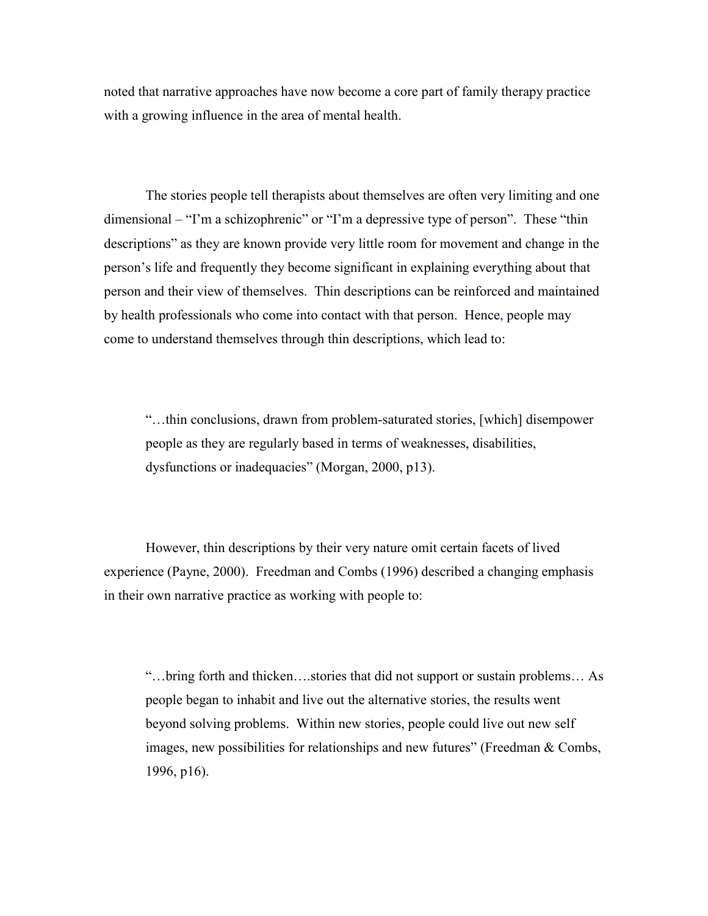noted that narrative approaches have now become a core part of family therapy practice with a growing influence in the area of mental health.

The stories people tell therapists about themselves are often very limiting and one dimensional – "I'm a schizophrenic" or "I'm a depressive type of person". These "thin descriptions" as they are known provide very little room for movement and change in the person's life and frequently they become significant in explaining everything about that person and their view of themselves. Thin descriptions can be reinforced and maintained by health professionals who come into contact with that person. Hence, people may come to understand themselves through thin descriptions, which lead to:

"…thin conclusions, drawn from problem-saturated stories, [which] disempower people as they are regularly based in terms of weaknesses, disabilities, dysfunctions or inadequacies" (Morgan, 2000, p13).

However, thin descriptions by their very nature omit certain facets of lived experience (Payne, 2000). Freedman and Combs (1996) described a changing emphasis in their own narrative practice as working with people to:

"…bring forth and thicken….stories that did not support or sustain problems… As people began to inhabit and live out the alternative stories, the results went beyond solving problems. Within new stories, people could live out new self images, new possibilities for relationships and new futures" (Freedman & Combs, 1996, p16).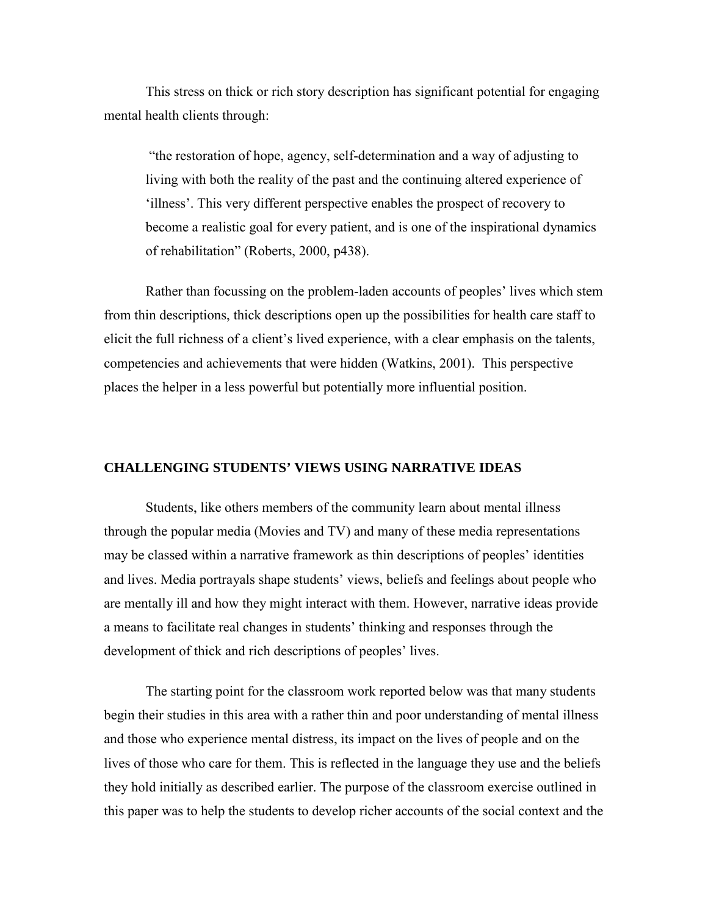This stress on thick or rich story description has significant potential for engaging mental health clients through:

 "the restoration of hope, agency, self-determination and a way of adjusting to living with both the reality of the past and the continuing altered experience of 'illness'. This very different perspective enables the prospect of recovery to become a realistic goal for every patient, and is one of the inspirational dynamics of rehabilitation" (Roberts, 2000, p438).

Rather than focussing on the problem-laden accounts of peoples' lives which stem from thin descriptions, thick descriptions open up the possibilities for health care staff to elicit the full richness of a client's lived experience, with a clear emphasis on the talents, competencies and achievements that were hidden (Watkins, 2001). This perspective places the helper in a less powerful but potentially more influential position.

#### **CHALLENGING STUDENTS' VIEWS USING NARRATIVE IDEAS**

Students, like others members of the community learn about mental illness through the popular media (Movies and TV) and many of these media representations may be classed within a narrative framework as thin descriptions of peoples' identities and lives. Media portrayals shape students' views, beliefs and feelings about people who are mentally ill and how they might interact with them. However, narrative ideas provide a means to facilitate real changes in students' thinking and responses through the development of thick and rich descriptions of peoples' lives.

The starting point for the classroom work reported below was that many students begin their studies in this area with a rather thin and poor understanding of mental illness and those who experience mental distress, its impact on the lives of people and on the lives of those who care for them. This is reflected in the language they use and the beliefs they hold initially as described earlier. The purpose of the classroom exercise outlined in this paper was to help the students to develop richer accounts of the social context and the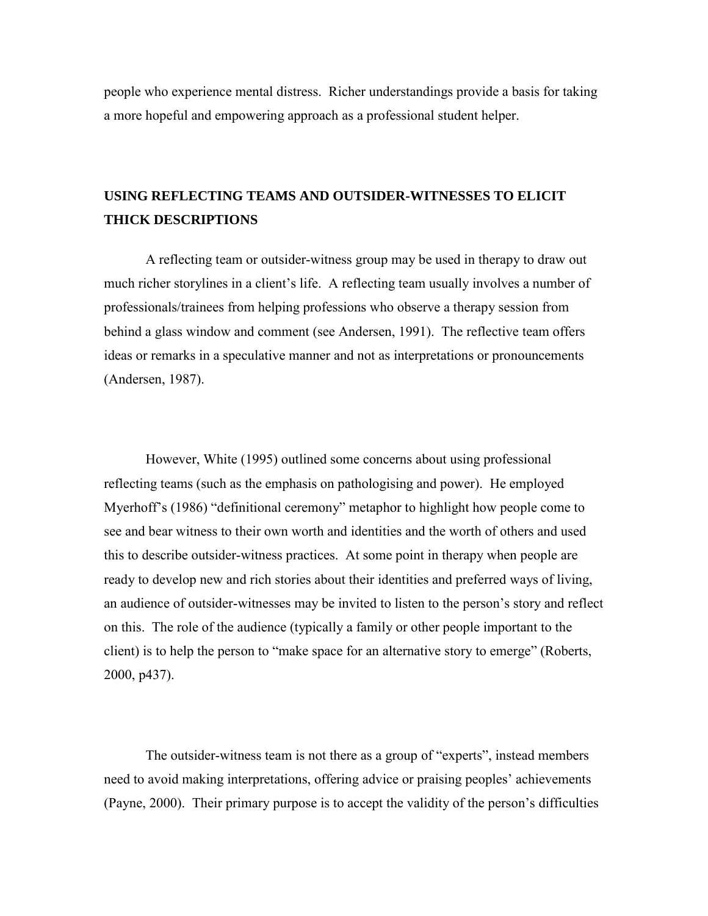people who experience mental distress. Richer understandings provide a basis for taking a more hopeful and empowering approach as a professional student helper.

### **USING REFLECTING TEAMS AND OUTSIDER-WITNESSES TO ELICIT THICK DESCRIPTIONS**

A reflecting team or outsider-witness group may be used in therapy to draw out much richer storylines in a client's life. A reflecting team usually involves a number of professionals/trainees from helping professions who observe a therapy session from behind a glass window and comment (see Andersen, 1991). The reflective team offers ideas or remarks in a speculative manner and not as interpretations or pronouncements (Andersen, 1987).

However, White (1995) outlined some concerns about using professional reflecting teams (such as the emphasis on pathologising and power). He employed Myerhoff's (1986) "definitional ceremony" metaphor to highlight how people come to see and bear witness to their own worth and identities and the worth of others and used this to describe outsider-witness practices. At some point in therapy when people are ready to develop new and rich stories about their identities and preferred ways of living, an audience of outsider-witnesses may be invited to listen to the person's story and reflect on this. The role of the audience (typically a family or other people important to the client) is to help the person to "make space for an alternative story to emerge" (Roberts, 2000, p437).

The outsider-witness team is not there as a group of "experts", instead members need to avoid making interpretations, offering advice or praising peoples' achievements (Payne, 2000). Their primary purpose is to accept the validity of the person's difficulties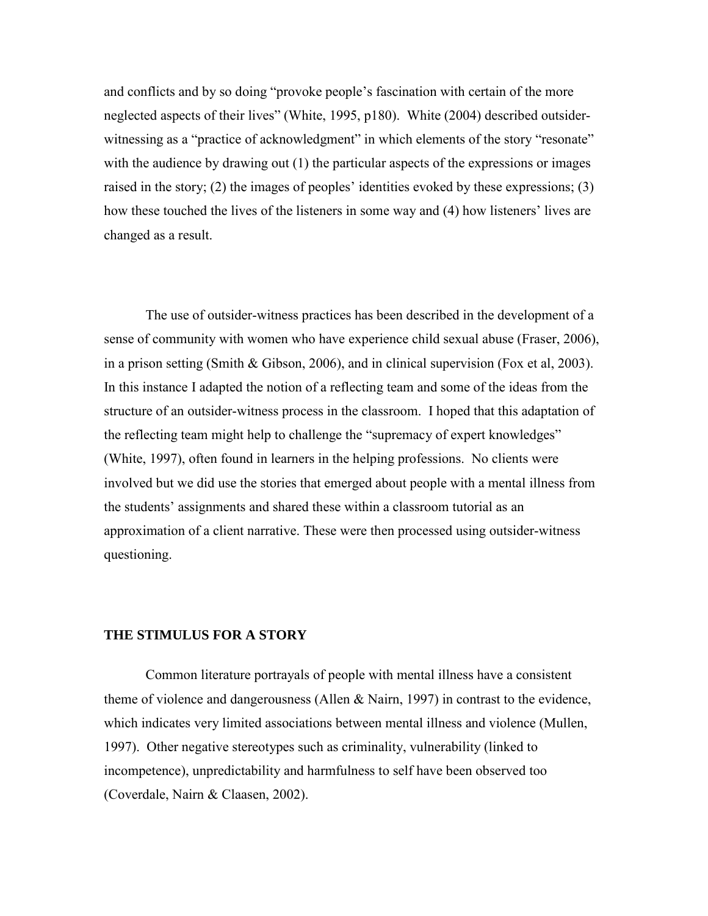and conflicts and by so doing "provoke people's fascination with certain of the more neglected aspects of their lives" (White, 1995, p180). White (2004) described outsiderwitnessing as a "practice of acknowledgment" in which elements of the story "resonate" with the audience by drawing out (1) the particular aspects of the expressions or images raised in the story; (2) the images of peoples' identities evoked by these expressions; (3) how these touched the lives of the listeners in some way and (4) how listeners' lives are changed as a result.

The use of outsider-witness practices has been described in the development of a sense of community with women who have experience child sexual abuse (Fraser, 2006), in a prison setting (Smith & Gibson, 2006), and in clinical supervision (Fox et al, 2003). In this instance I adapted the notion of a reflecting team and some of the ideas from the structure of an outsider-witness process in the classroom. I hoped that this adaptation of the reflecting team might help to challenge the "supremacy of expert knowledges" (White, 1997), often found in learners in the helping professions. No clients were involved but we did use the stories that emerged about people with a mental illness from the students' assignments and shared these within a classroom tutorial as an approximation of a client narrative. These were then processed using outsider-witness questioning.

#### **THE STIMULUS FOR A STORY**

Common literature portrayals of people with mental illness have a consistent theme of violence and dangerousness (Allen & Nairn, 1997) in contrast to the evidence, which indicates very limited associations between mental illness and violence (Mullen, 1997). Other negative stereotypes such as criminality, vulnerability (linked to incompetence), unpredictability and harmfulness to self have been observed too (Coverdale, Nairn & Claasen, 2002).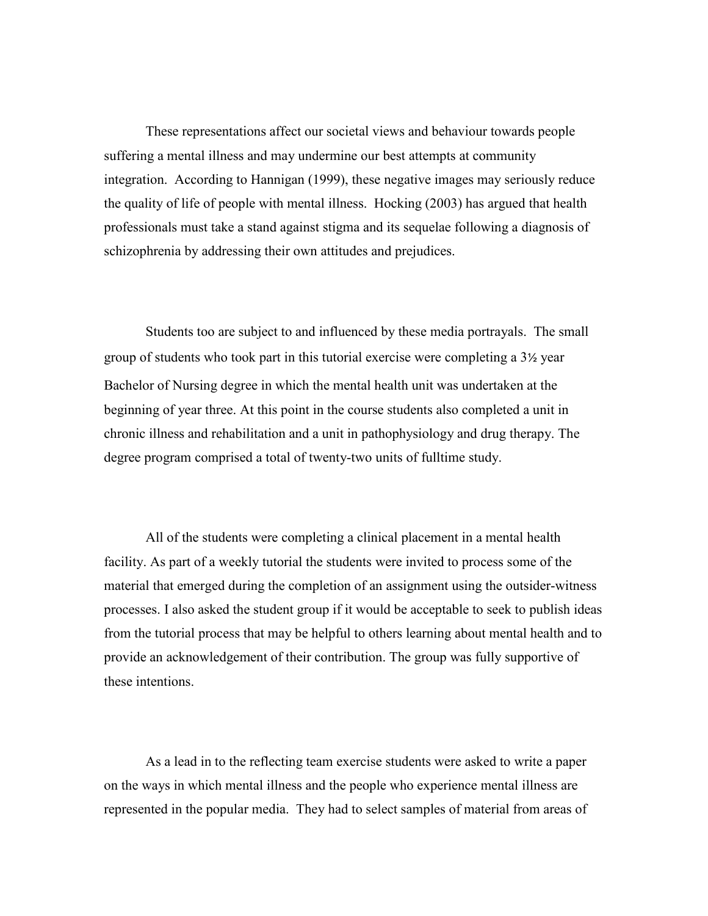These representations affect our societal views and behaviour towards people suffering a mental illness and may undermine our best attempts at community integration. According to Hannigan (1999), these negative images may seriously reduce the quality of life of people with mental illness. Hocking (2003) has argued that health professionals must take a stand against stigma and its sequelae following a diagnosis of schizophrenia by addressing their own attitudes and prejudices.

 Students too are subject to and influenced by these media portrayals. The small group of students who took part in this tutorial exercise were completing a 3½ year Bachelor of Nursing degree in which the mental health unit was undertaken at the beginning of year three. At this point in the course students also completed a unit in chronic illness and rehabilitation and a unit in pathophysiology and drug therapy. The degree program comprised a total of twenty-two units of fulltime study.

 All of the students were completing a clinical placement in a mental health facility. As part of a weekly tutorial the students were invited to process some of the material that emerged during the completion of an assignment using the outsider-witness processes. I also asked the student group if it would be acceptable to seek to publish ideas from the tutorial process that may be helpful to others learning about mental health and to provide an acknowledgement of their contribution. The group was fully supportive of these intentions.

 As a lead in to the reflecting team exercise students were asked to write a paper on the ways in which mental illness and the people who experience mental illness are represented in the popular media. They had to select samples of material from areas of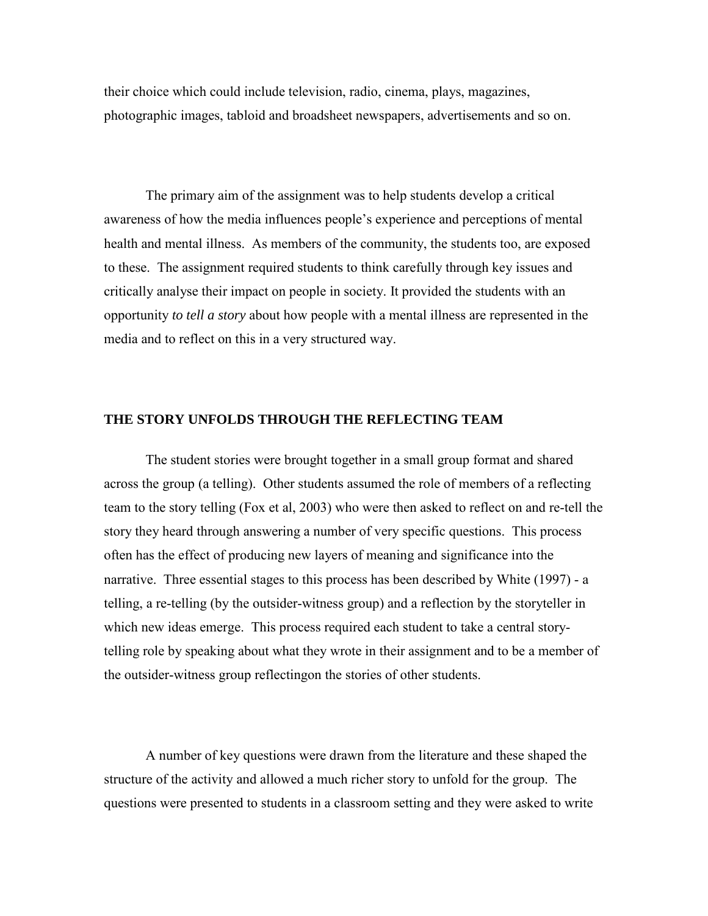their choice which could include television, radio, cinema, plays, magazines, photographic images, tabloid and broadsheet newspapers, advertisements and so on.

The primary aim of the assignment was to help students develop a critical awareness of how the media influences people's experience and perceptions of mental health and mental illness. As members of the community, the students too, are exposed to these. The assignment required students to think carefully through key issues and critically analyse their impact on people in society. It provided the students with an opportunity *to tell a story* about how people with a mental illness are represented in the media and to reflect on this in a very structured way.

### **THE STORY UNFOLDS THROUGH THE REFLECTING TEAM**

The student stories were brought together in a small group format and shared across the group (a telling). Other students assumed the role of members of a reflecting team to the story telling (Fox et al, 2003) who were then asked to reflect on and re-tell the story they heard through answering a number of very specific questions. This process often has the effect of producing new layers of meaning and significance into the narrative. Three essential stages to this process has been described by White (1997) - a telling, a re-telling (by the outsider-witness group) and a reflection by the storyteller in which new ideas emerge. This process required each student to take a central storytelling role by speaking about what they wrote in their assignment and to be a member of the outsider-witness group reflectingon the stories of other students.

A number of key questions were drawn from the literature and these shaped the structure of the activity and allowed a much richer story to unfold for the group. The questions were presented to students in a classroom setting and they were asked to write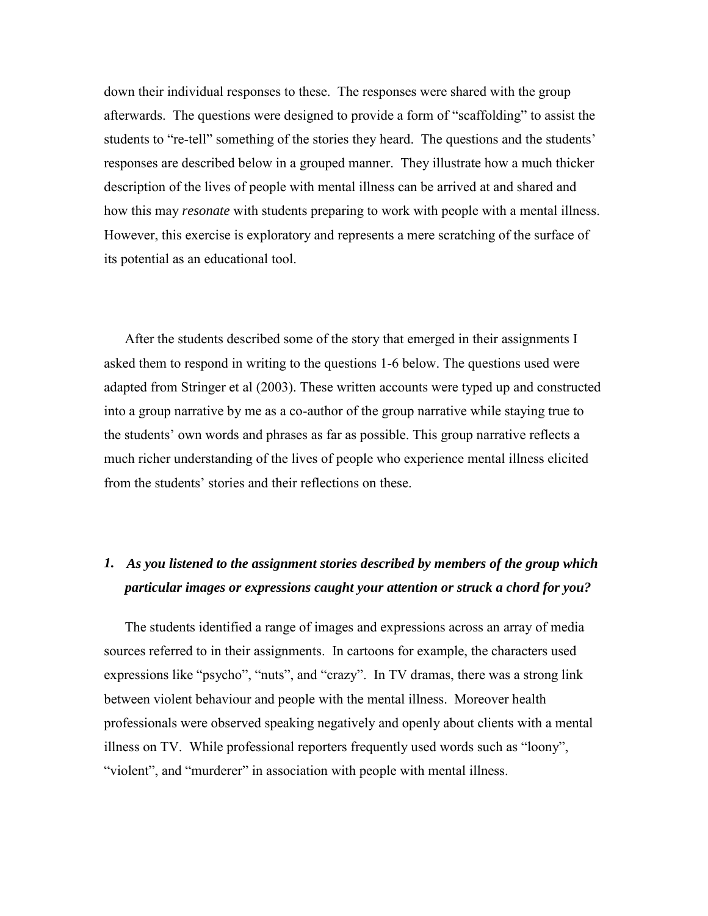down their individual responses to these. The responses were shared with the group afterwards. The questions were designed to provide a form of "scaffolding" to assist the students to "re-tell" something of the stories they heard. The questions and the students' responses are described below in a grouped manner. They illustrate how a much thicker description of the lives of people with mental illness can be arrived at and shared and how this may *resonate* with students preparing to work with people with a mental illness. However, this exercise is exploratory and represents a mere scratching of the surface of its potential as an educational tool.

After the students described some of the story that emerged in their assignments I asked them to respond in writing to the questions 1-6 below. The questions used were adapted from Stringer et al (2003). These written accounts were typed up and constructed into a group narrative by me as a co-author of the group narrative while staying true to the students' own words and phrases as far as possible. This group narrative reflects a much richer understanding of the lives of people who experience mental illness elicited from the students' stories and their reflections on these.

### *1. As you listened to the assignment stories described by members of the group which particular images or expressions caught your attention or struck a chord for you?*

The students identified a range of images and expressions across an array of media sources referred to in their assignments. In cartoons for example, the characters used expressions like "psycho", "nuts", and "crazy". In TV dramas, there was a strong link between violent behaviour and people with the mental illness. Moreover health professionals were observed speaking negatively and openly about clients with a mental illness on TV. While professional reporters frequently used words such as "loony", "violent", and "murderer" in association with people with mental illness.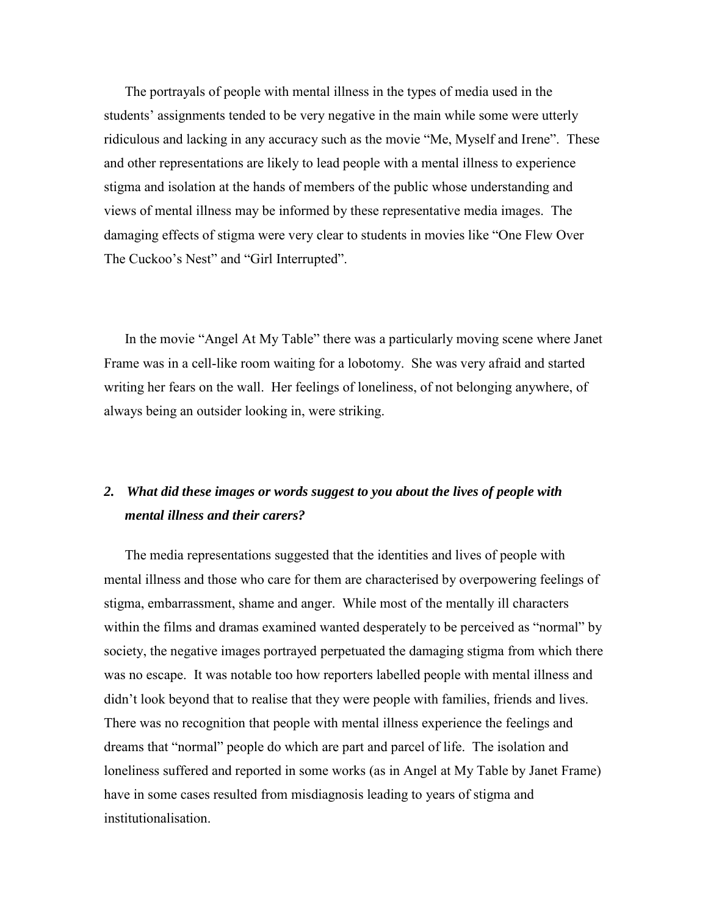The portrayals of people with mental illness in the types of media used in the students' assignments tended to be very negative in the main while some were utterly ridiculous and lacking in any accuracy such as the movie "Me, Myself and Irene". These and other representations are likely to lead people with a mental illness to experience stigma and isolation at the hands of members of the public whose understanding and views of mental illness may be informed by these representative media images. The damaging effects of stigma were very clear to students in movies like "One Flew Over The Cuckoo's Nest" and "Girl Interrupted".

In the movie "Angel At My Table" there was a particularly moving scene where Janet Frame was in a cell-like room waiting for a lobotomy. She was very afraid and started writing her fears on the wall. Her feelings of loneliness, of not belonging anywhere, of always being an outsider looking in, were striking.

### *2. What did these images or words suggest to you about the lives of people with mental illness and their carers?*

The media representations suggested that the identities and lives of people with mental illness and those who care for them are characterised by overpowering feelings of stigma, embarrassment, shame and anger. While most of the mentally ill characters within the films and dramas examined wanted desperately to be perceived as "normal" by society, the negative images portrayed perpetuated the damaging stigma from which there was no escape. It was notable too how reporters labelled people with mental illness and didn't look beyond that to realise that they were people with families, friends and lives. There was no recognition that people with mental illness experience the feelings and dreams that "normal" people do which are part and parcel of life. The isolation and loneliness suffered and reported in some works (as in Angel at My Table by Janet Frame) have in some cases resulted from misdiagnosis leading to years of stigma and institutionalisation.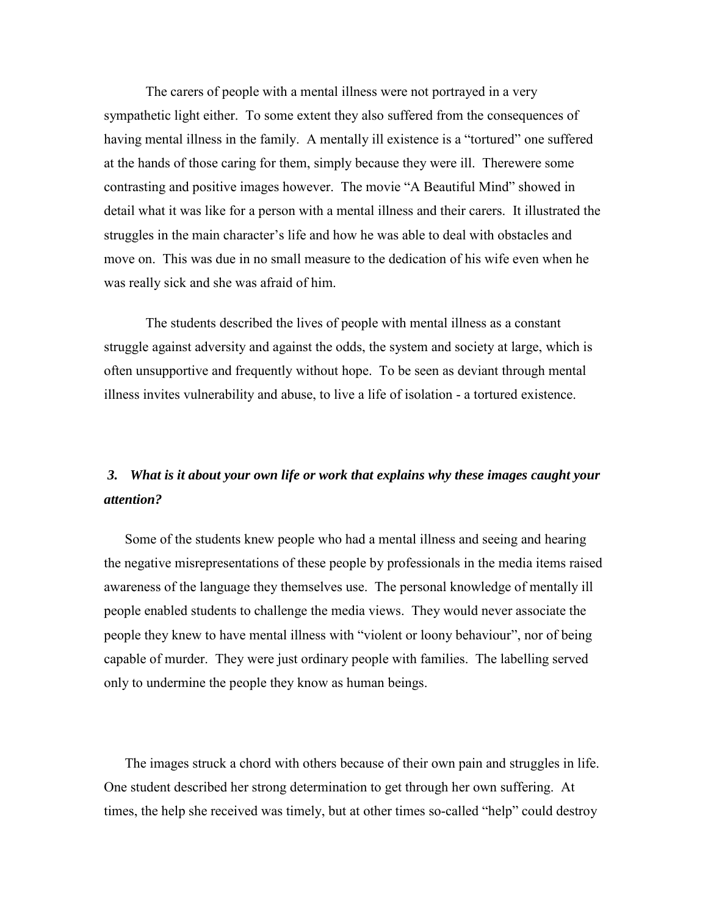The carers of people with a mental illness were not portrayed in a very sympathetic light either. To some extent they also suffered from the consequences of having mental illness in the family. A mentally ill existence is a "tortured" one suffered at the hands of those caring for them, simply because they were ill. Therewere some contrasting and positive images however. The movie "A Beautiful Mind" showed in detail what it was like for a person with a mental illness and their carers. It illustrated the struggles in the main character's life and how he was able to deal with obstacles and move on. This was due in no small measure to the dedication of his wife even when he was really sick and she was afraid of him.

 The students described the lives of people with mental illness as a constant struggle against adversity and against the odds, the system and society at large, which is often unsupportive and frequently without hope. To be seen as deviant through mental illness invites vulnerability and abuse, to live a life of isolation - a tortured existence.

# *3. What is it about your own life or work that explains why these images caught your attention?*

Some of the students knew people who had a mental illness and seeing and hearing the negative misrepresentations of these people by professionals in the media items raised awareness of the language they themselves use. The personal knowledge of mentally ill people enabled students to challenge the media views. They would never associate the people they knew to have mental illness with "violent or loony behaviour", nor of being capable of murder. They were just ordinary people with families. The labelling served only to undermine the people they know as human beings.

The images struck a chord with others because of their own pain and struggles in life. One student described her strong determination to get through her own suffering. At times, the help she received was timely, but at other times so-called "help" could destroy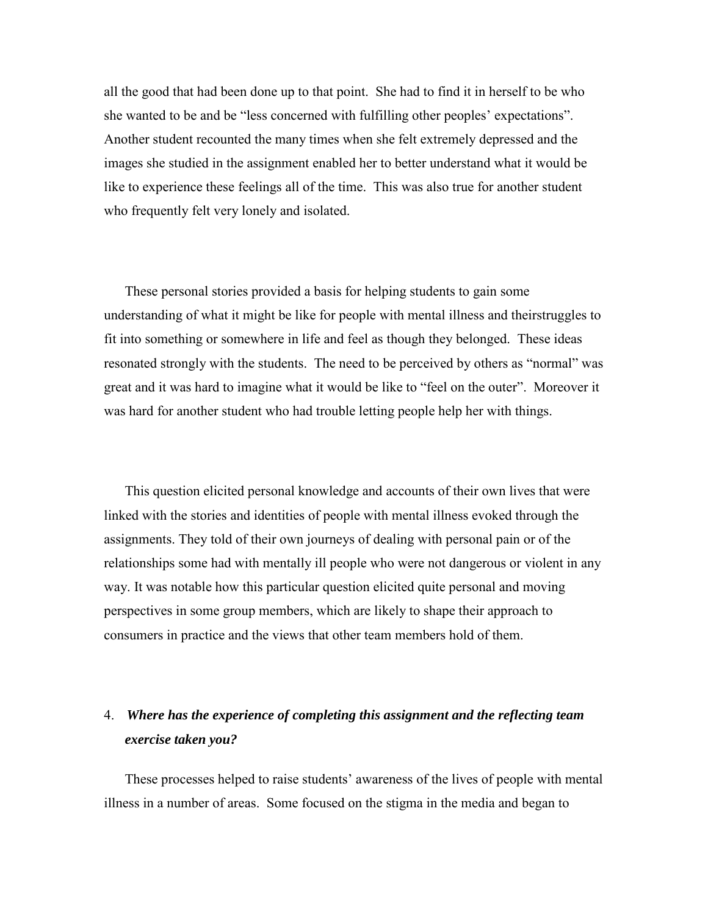all the good that had been done up to that point. She had to find it in herself to be who she wanted to be and be "less concerned with fulfilling other peoples' expectations". Another student recounted the many times when she felt extremely depressed and the images she studied in the assignment enabled her to better understand what it would be like to experience these feelings all of the time. This was also true for another student who frequently felt very lonely and isolated.

These personal stories provided a basis for helping students to gain some understanding of what it might be like for people with mental illness and theirstruggles to fit into something or somewhere in life and feel as though they belonged. These ideas resonated strongly with the students. The need to be perceived by others as "normal" was great and it was hard to imagine what it would be like to "feel on the outer". Moreover it was hard for another student who had trouble letting people help her with things.

This question elicited personal knowledge and accounts of their own lives that were linked with the stories and identities of people with mental illness evoked through the assignments. They told of their own journeys of dealing with personal pain or of the relationships some had with mentally ill people who were not dangerous or violent in any way. It was notable how this particular question elicited quite personal and moving perspectives in some group members, which are likely to shape their approach to consumers in practice and the views that other team members hold of them.

# 4. *Where has the experience of completing this assignment and the reflecting team exercise taken you?*

These processes helped to raise students' awareness of the lives of people with mental illness in a number of areas. Some focused on the stigma in the media and began to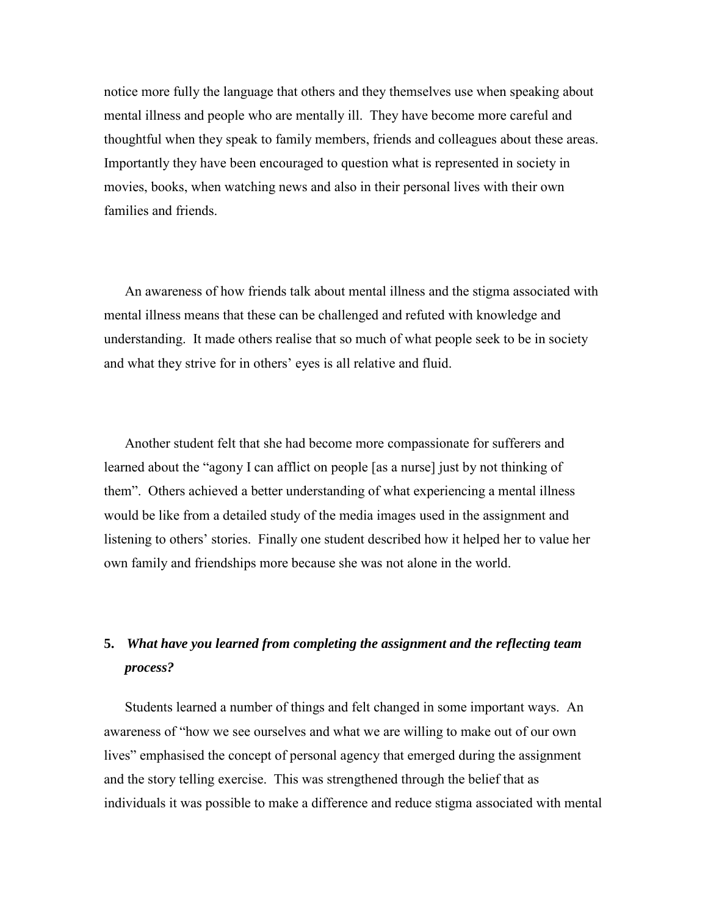notice more fully the language that others and they themselves use when speaking about mental illness and people who are mentally ill. They have become more careful and thoughtful when they speak to family members, friends and colleagues about these areas. Importantly they have been encouraged to question what is represented in society in movies, books, when watching news and also in their personal lives with their own families and friends.

An awareness of how friends talk about mental illness and the stigma associated with mental illness means that these can be challenged and refuted with knowledge and understanding. It made others realise that so much of what people seek to be in society and what they strive for in others' eyes is all relative and fluid.

Another student felt that she had become more compassionate for sufferers and learned about the "agony I can afflict on people [as a nurse] just by not thinking of them". Others achieved a better understanding of what experiencing a mental illness would be like from a detailed study of the media images used in the assignment and listening to others' stories. Finally one student described how it helped her to value her own family and friendships more because she was not alone in the world.

# **5.** *What have you learned from completing the assignment and the reflecting team process?*

Students learned a number of things and felt changed in some important ways. An awareness of "how we see ourselves and what we are willing to make out of our own lives" emphasised the concept of personal agency that emerged during the assignment and the story telling exercise. This was strengthened through the belief that as individuals it was possible to make a difference and reduce stigma associated with mental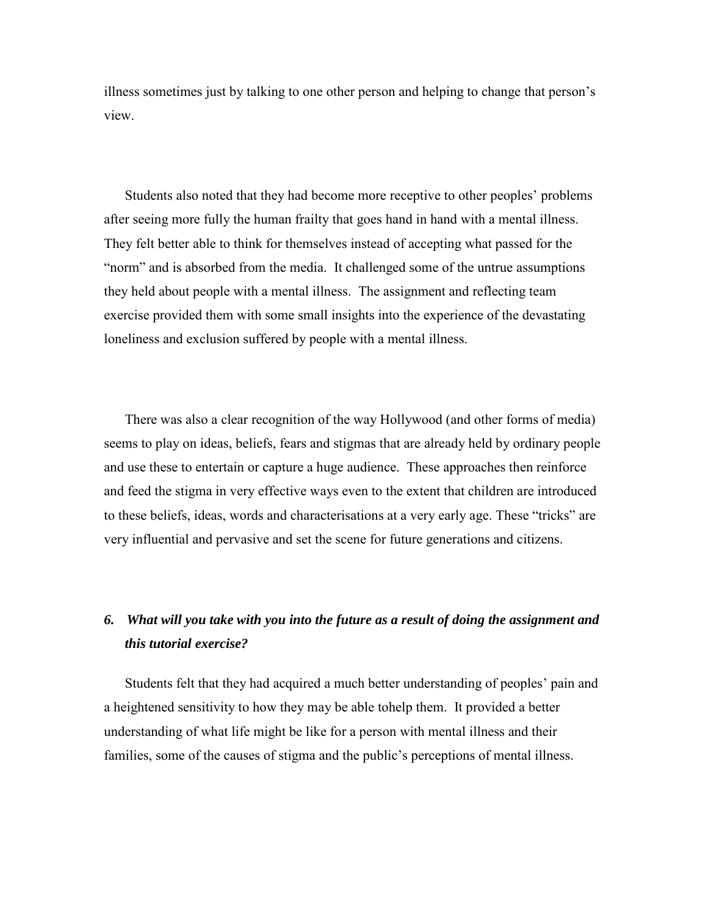illness sometimes just by talking to one other person and helping to change that person's view.

Students also noted that they had become more receptive to other peoples' problems after seeing more fully the human frailty that goes hand in hand with a mental illness. They felt better able to think for themselves instead of accepting what passed for the "norm" and is absorbed from the media. It challenged some of the untrue assumptions they held about people with a mental illness. The assignment and reflecting team exercise provided them with some small insights into the experience of the devastating loneliness and exclusion suffered by people with a mental illness.

There was also a clear recognition of the way Hollywood (and other forms of media) seems to play on ideas, beliefs, fears and stigmas that are already held by ordinary people and use these to entertain or capture a huge audience. These approaches then reinforce and feed the stigma in very effective ways even to the extent that children are introduced to these beliefs, ideas, words and characterisations at a very early age. These "tricks" are very influential and pervasive and set the scene for future generations and citizens.

# *6. What will you take with you into the future as a result of doing the assignment and this tutorial exercise?*

Students felt that they had acquired a much better understanding of peoples' pain and a heightened sensitivity to how they may be able tohelp them. It provided a better understanding of what life might be like for a person with mental illness and their families, some of the causes of stigma and the public's perceptions of mental illness.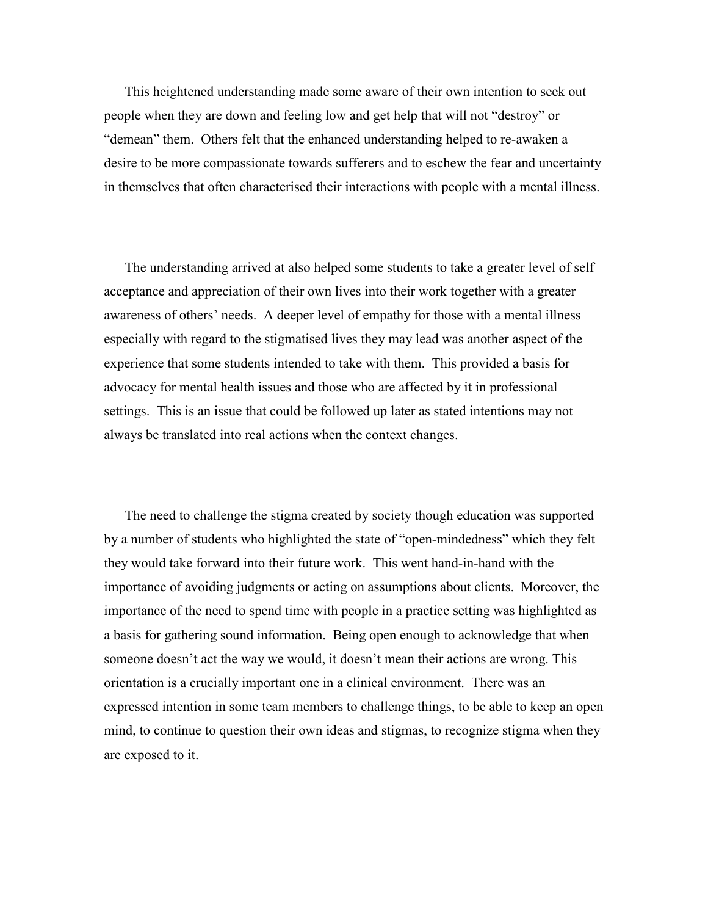This heightened understanding made some aware of their own intention to seek out people when they are down and feeling low and get help that will not "destroy" or "demean" them. Others felt that the enhanced understanding helped to re-awaken a desire to be more compassionate towards sufferers and to eschew the fear and uncertainty in themselves that often characterised their interactions with people with a mental illness.

The understanding arrived at also helped some students to take a greater level of self acceptance and appreciation of their own lives into their work together with a greater awareness of others' needs. A deeper level of empathy for those with a mental illness especially with regard to the stigmatised lives they may lead was another aspect of the experience that some students intended to take with them. This provided a basis for advocacy for mental health issues and those who are affected by it in professional settings. This is an issue that could be followed up later as stated intentions may not always be translated into real actions when the context changes.

The need to challenge the stigma created by society though education was supported by a number of students who highlighted the state of "open-mindedness" which they felt they would take forward into their future work. This went hand-in-hand with the importance of avoiding judgments or acting on assumptions about clients. Moreover, the importance of the need to spend time with people in a practice setting was highlighted as a basis for gathering sound information. Being open enough to acknowledge that when someone doesn't act the way we would, it doesn't mean their actions are wrong. This orientation is a crucially important one in a clinical environment. There was an expressed intention in some team members to challenge things, to be able to keep an open mind, to continue to question their own ideas and stigmas, to recognize stigma when they are exposed to it.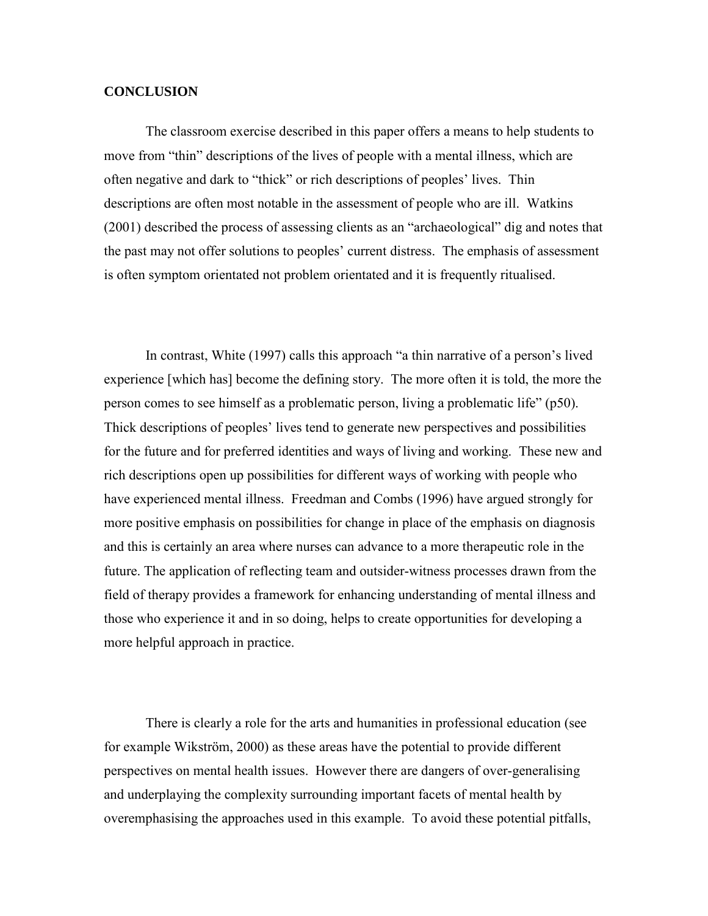#### **CONCLUSION**

The classroom exercise described in this paper offers a means to help students to move from "thin" descriptions of the lives of people with a mental illness, which are often negative and dark to "thick" or rich descriptions of peoples' lives. Thin descriptions are often most notable in the assessment of people who are ill. Watkins (2001) described the process of assessing clients as an "archaeological" dig and notes that the past may not offer solutions to peoples' current distress. The emphasis of assessment is often symptom orientated not problem orientated and it is frequently ritualised.

In contrast, White (1997) calls this approach "a thin narrative of a person's lived experience [which has] become the defining story. The more often it is told, the more the person comes to see himself as a problematic person, living a problematic life" (p50). Thick descriptions of peoples' lives tend to generate new perspectives and possibilities for the future and for preferred identities and ways of living and working. These new and rich descriptions open up possibilities for different ways of working with people who have experienced mental illness. Freedman and Combs (1996) have argued strongly for more positive emphasis on possibilities for change in place of the emphasis on diagnosis and this is certainly an area where nurses can advance to a more therapeutic role in the future. The application of reflecting team and outsider-witness processes drawn from the field of therapy provides a framework for enhancing understanding of mental illness and those who experience it and in so doing, helps to create opportunities for developing a more helpful approach in practice.

There is clearly a role for the arts and humanities in professional education (see for example Wikström, 2000) as these areas have the potential to provide different perspectives on mental health issues. However there are dangers of over-generalising and underplaying the complexity surrounding important facets of mental health by overemphasising the approaches used in this example. To avoid these potential pitfalls,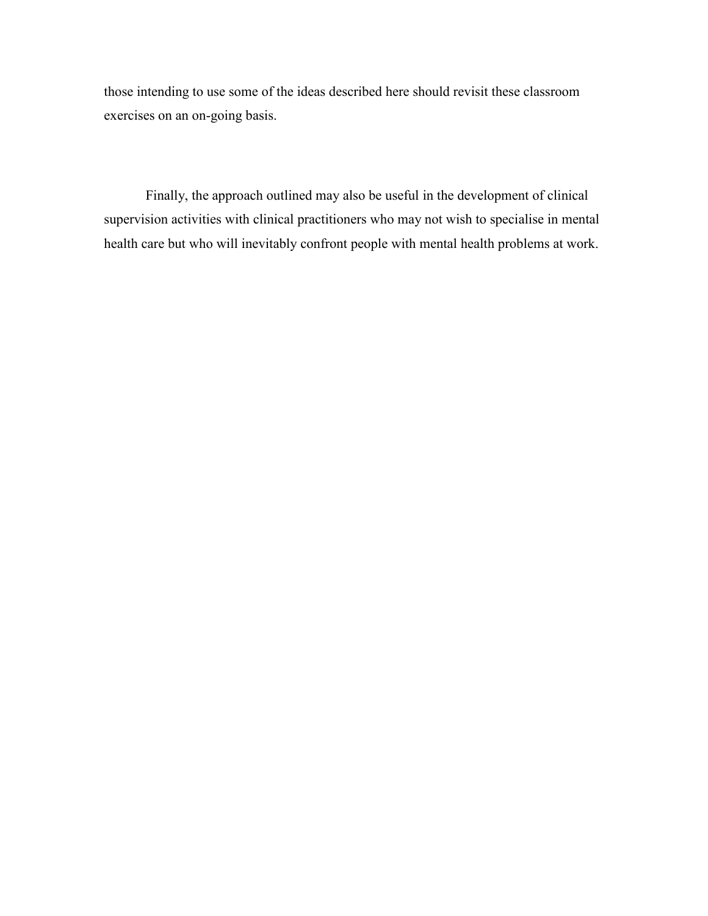those intending to use some of the ideas described here should revisit these classroom exercises on an on-going basis.

Finally, the approach outlined may also be useful in the development of clinical supervision activities with clinical practitioners who may not wish to specialise in mental health care but who will inevitably confront people with mental health problems at work.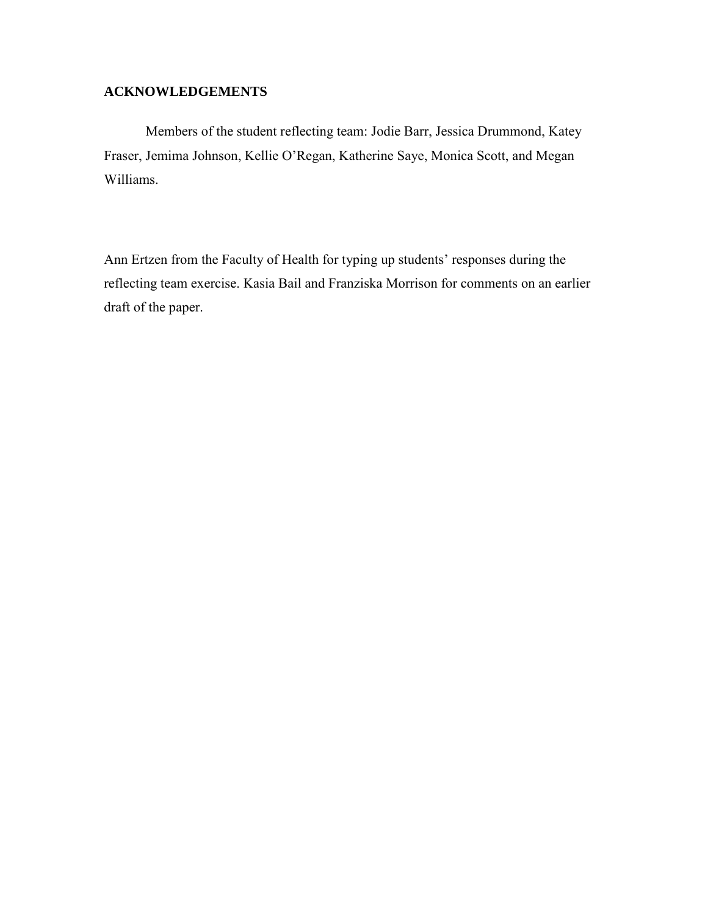### **ACKNOWLEDGEMENTS**

Members of the student reflecting team: Jodie Barr, Jessica Drummond, Katey Fraser, Jemima Johnson, Kellie O'Regan, Katherine Saye, Monica Scott, and Megan Williams.

Ann Ertzen from the Faculty of Health for typing up students' responses during the reflecting team exercise. Kasia Bail and Franziska Morrison for comments on an earlier draft of the paper.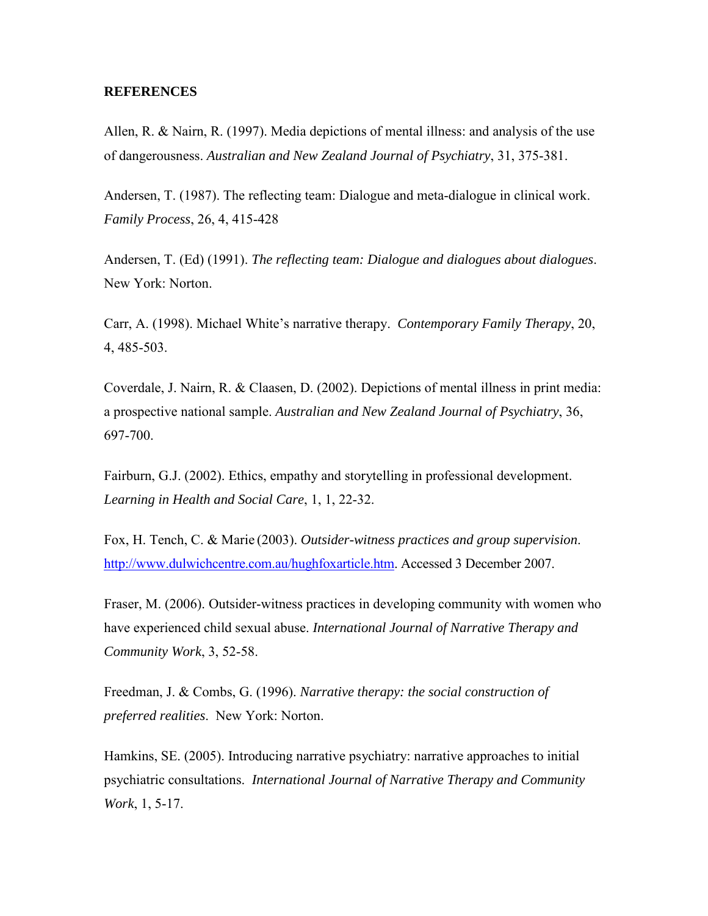#### **REFERENCES**

Allen, R. & Nairn, R. (1997). Media depictions of mental illness: and analysis of the use of dangerousness. *Australian and New Zealand Journal of Psychiatry*, 31, 375-381.

Andersen, T. (1987). The reflecting team: Dialogue and meta-dialogue in clinical work. *Family Process*, 26, 4, 415-428

Andersen, T. (Ed) (1991). *The reflecting team: Dialogue and dialogues about dialogues*. New York: Norton.

Carr, A. (1998). Michael White's narrative therapy. *Contemporary Family Therapy*, 20, 4, 485-503.

Coverdale, J. Nairn, R. & Claasen, D. (2002). Depictions of mental illness in print media: a prospective national sample. *Australian and New Zealand Journal of Psychiatry*, 36, 697-700.

Fairburn, G.J. (2002). Ethics, empathy and storytelling in professional development. *Learning in Health and Social Care*, 1, 1, 22-32.

Fox, H. Tench, C. & Marie (2003). *Outsider-witness practices and group supervision*. [http://www.dulwichcentre.com.au/hughfoxarticle.htm.](http://www.dulwichcentre.com.au/hughfoxarticle.htm) Accessed 3 December 2007.

Fraser, M. (2006). Outsider-witness practices in developing community with women who have experienced child sexual abuse. *International Journal of Narrative Therapy and Community Work*, 3, 52-58.

Freedman, J. & Combs, G. (1996). *Narrative therapy: the social construction of preferred realities*. New York: Norton.

Hamkins, SE. (2005). Introducing narrative psychiatry: narrative approaches to initial psychiatric consultations. *International Journal of Narrative Therapy and Community Work*, 1, 5-17.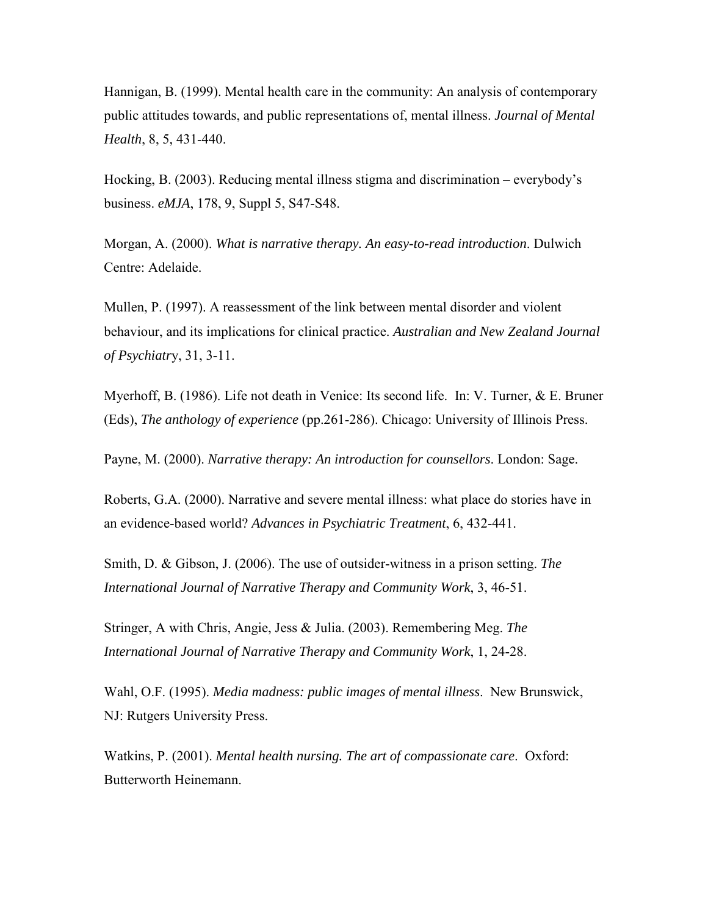Hannigan, B. (1999). Mental health care in the community: An analysis of contemporary public attitudes towards, and public representations of, mental illness. *Journal of Mental Health*, 8, 5, 431-440.

Hocking, B. (2003). Reducing mental illness stigma and discrimination – everybody's business. *eMJA*, 178, 9, Suppl 5, S47-S48.

Morgan, A. (2000). *What is narrative therapy. An easy-to-read introduction*. Dulwich Centre: Adelaide.

Mullen, P. (1997). A reassessment of the link between mental disorder and violent behaviour, and its implications for clinical practice. *Australian and New Zealand Journal of Psychiatr*y, 31, 3-11.

Myerhoff, B. (1986). Life not death in Venice: Its second life. In: V. Turner, & E. Bruner (Eds), *The anthology of experience* (pp.261-286). Chicago: University of Illinois Press.

Payne, M. (2000). *Narrative therapy: An introduction for counsellors*. London: Sage.

Roberts, G.A. (2000). Narrative and severe mental illness: what place do stories have in an evidence-based world? *Advances in Psychiatric Treatment*, 6, 432-441.

Smith, D. & Gibson, J. (2006). The use of outsider-witness in a prison setting. *The International Journal of Narrative Therapy and Community Work*, 3, 46-51.

Stringer, A with Chris, Angie, Jess & Julia. (2003). Remembering Meg. *The International Journal of Narrative Therapy and Community Work*, 1, 24-28.

Wahl, O.F. (1995). *Media madness: public images of mental illness*. New Brunswick, NJ: Rutgers University Press.

Watkins, P. (2001). *Mental health nursing. The art of compassionate care*. Oxford: Butterworth Heinemann.